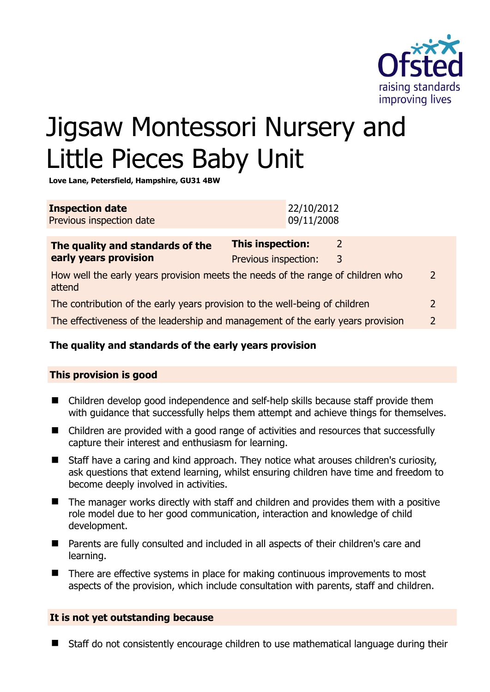

# Jigsaw Montessori Nursery and Little Pieces Baby Unit

**Love Lane, Petersfield, Hampshire, GU31 4BW** 

| <b>Inspection date</b><br>Previous inspection date                                        | 22/10/2012<br>09/11/2008                                               |  |
|-------------------------------------------------------------------------------------------|------------------------------------------------------------------------|--|
| The quality and standards of the<br>early years provision                                 | <b>This inspection:</b><br>$\overline{2}$<br>Previous inspection:<br>3 |  |
| How well the early years provision meets the needs of the range of children who<br>attend |                                                                        |  |
| The contribution of the early years provision to the well-being of children               |                                                                        |  |
| The effectiveness of the leadership and management of the early years provision           |                                                                        |  |

# **The quality and standards of the early years provision**

### **This provision is good**

- Children develop good independence and self-help skills because staff provide them with quidance that successfully helps them attempt and achieve things for themselves.
- Children are provided with a good range of activities and resources that successfully capture their interest and enthusiasm for learning.
- Staff have a caring and kind approach. They notice what arouses children's curiosity, ask questions that extend learning, whilst ensuring children have time and freedom to become deeply involved in activities.
- The manager works directly with staff and children and provides them with a positive role model due to her good communication, interaction and knowledge of child development.
- Parents are fully consulted and included in all aspects of their children's care and learning.
- There are effective systems in place for making continuous improvements to most aspects of the provision, which include consultation with parents, staff and children.

### **It is not yet outstanding because**

Staff do not consistently encourage children to use mathematical language during their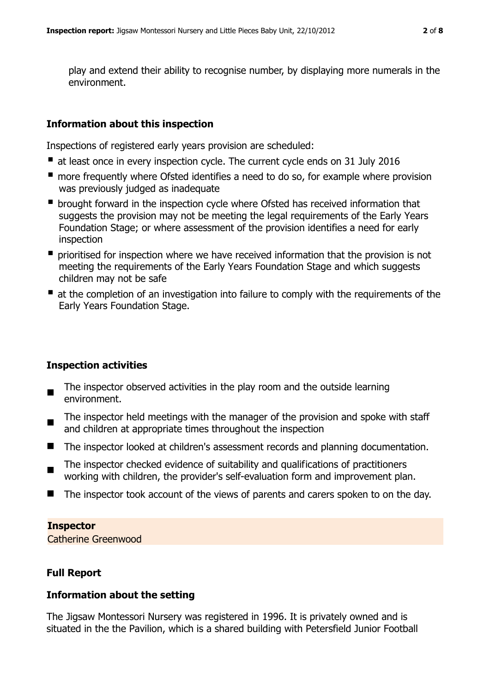play and extend their ability to recognise number, by displaying more numerals in the environment.

## **Information about this inspection**

Inspections of registered early years provision are scheduled:

- at least once in every inspection cycle. The current cycle ends on 31 July 2016
- **n** more frequently where Ofsted identifies a need to do so, for example where provision was previously judged as inadequate
- **•** brought forward in the inspection cycle where Ofsted has received information that suggests the provision may not be meeting the legal requirements of the Early Years Foundation Stage; or where assessment of the provision identifies a need for early inspection
- **P** prioritised for inspection where we have received information that the provision is not meeting the requirements of the Early Years Foundation Stage and which suggests children may not be safe
- at the completion of an investigation into failure to comply with the requirements of the Early Years Foundation Stage.

# **Inspection activities**

- $\blacksquare$ The inspector observed activities in the play room and the outside learning environment.
- $\blacksquare$ The inspector held meetings with the manager of the provision and spoke with staff and children at appropriate times throughout the inspection
- The inspector looked at children's assessment records and planning documentation.
- The inspector checked evidence of suitability and qualifications of practitioners working with children, the provider's self-evaluation form and improvement plan.
- The inspector took account of the views of parents and carers spoken to on the day.

### **Inspector**

Catherine Greenwood

# **Full Report**

### **Information about the setting**

The Jigsaw Montessori Nursery was registered in 1996. It is privately owned and is situated in the the Pavilion, which is a shared building with Petersfield Junior Football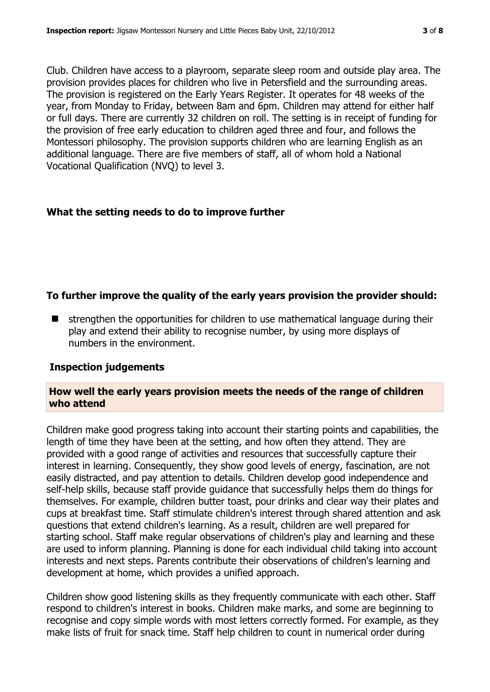Club. Children have access to a playroom, separate sleep room and outside play area. The provision provides places for children who live in Petersfield and the surrounding areas. The provision is registered on the Early Years Register. It operates for 48 weeks of the year, from Monday to Friday, between 8am and 6pm. Children may attend for either half or full days. There are currently 32 children on roll. The setting is in receipt of funding for the provision of free early education to children aged three and four, and follows the Montessori philosophy. The provision supports children who are learning English as an additional language. There are five members of staff, all of whom hold a National Vocational Qualification (NVQ) to level 3.

# **What the setting needs to do to improve further**

# **To further improve the quality of the early years provision the provider should:**

 $\blacksquare$  strengthen the opportunities for children to use mathematical language during their play and extend their ability to recognise number, by using more displays of numbers in the environment.

### **Inspection judgements**

# **How well the early years provision meets the needs of the range of children who attend**

Children make good progress taking into account their starting points and capabilities, the length of time they have been at the setting, and how often they attend. They are provided with a good range of activities and resources that successfully capture their interest in learning. Consequently, they show good levels of energy, fascination, are not easily distracted, and pay attention to details. Children develop good independence and self-help skills, because staff provide guidance that successfully helps them do things for themselves. For example, children butter toast, pour drinks and clear way their plates and cups at breakfast time. Staff stimulate children's interest through shared attention and ask questions that extend children's learning. As a result, children are well prepared for starting school. Staff make regular observations of children's play and learning and these are used to inform planning. Planning is done for each individual child taking into account interests and next steps. Parents contribute their observations of children's learning and development at home, which provides a unified approach.

Children show good listening skills as they frequently communicate with each other. Staff respond to children's interest in books. Children make marks, and some are beginning to recognise and copy simple words with most letters correctly formed. For example, as they make lists of fruit for snack time. Staff help children to count in numerical order during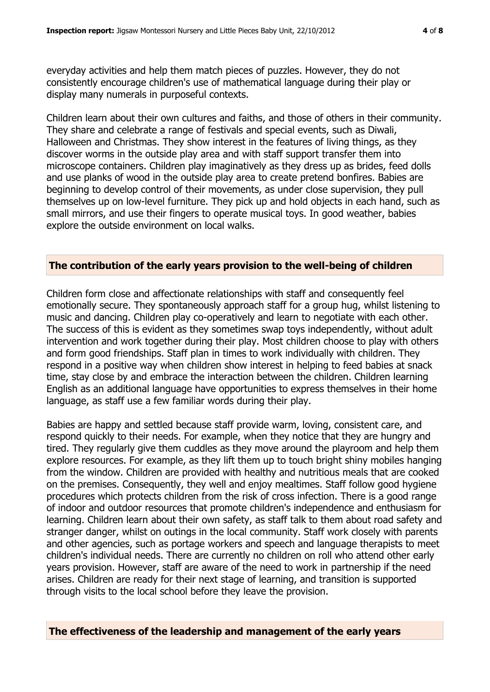everyday activities and help them match pieces of puzzles. However, they do not consistently encourage children's use of mathematical language during their play or display many numerals in purposeful contexts.

Children learn about their own cultures and faiths, and those of others in their community. They share and celebrate a range of festivals and special events, such as Diwali, Halloween and Christmas. They show interest in the features of living things, as they discover worms in the outside play area and with staff support transfer them into microscope containers. Children play imaginatively as they dress up as brides, feed dolls and use planks of wood in the outside play area to create pretend bonfires. Babies are beginning to develop control of their movements, as under close supervision, they pull themselves up on low-level furniture. They pick up and hold objects in each hand, such as small mirrors, and use their fingers to operate musical toys. In good weather, babies explore the outside environment on local walks.

#### **The contribution of the early years provision to the well-being of children**

Children form close and affectionate relationships with staff and consequently feel emotionally secure. They spontaneously approach staff for a group hug, whilst listening to music and dancing. Children play co-operatively and learn to negotiate with each other. The success of this is evident as they sometimes swap toys independently, without adult intervention and work together during their play. Most children choose to play with others and form good friendships. Staff plan in times to work individually with children. They respond in a positive way when children show interest in helping to feed babies at snack time, stay close by and embrace the interaction between the children. Children learning English as an additional language have opportunities to express themselves in their home language, as staff use a few familiar words during their play.

Babies are happy and settled because staff provide warm, loving, consistent care, and respond quickly to their needs. For example, when they notice that they are hungry and tired. They regularly give them cuddles as they move around the playroom and help them explore resources. For example, as they lift them up to touch bright shiny mobiles hanging from the window. Children are provided with healthy and nutritious meals that are cooked on the premises. Consequently, they well and enjoy mealtimes. Staff follow good hygiene procedures which protects children from the risk of cross infection. There is a good range of indoor and outdoor resources that promote children's independence and enthusiasm for learning. Children learn about their own safety, as staff talk to them about road safety and stranger danger, whilst on outings in the local community. Staff work closely with parents and other agencies, such as portage workers and speech and language therapists to meet children's individual needs. There are currently no children on roll who attend other early years provision. However, staff are aware of the need to work in partnership if the need arises. Children are ready for their next stage of learning, and transition is supported through visits to the local school before they leave the provision.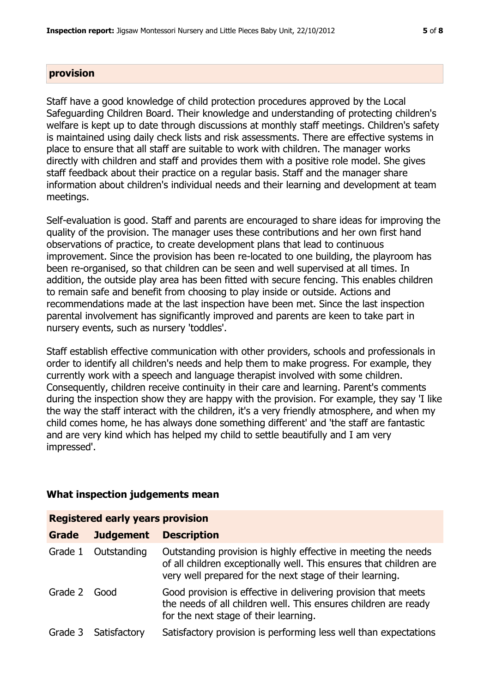### **provision**

Staff have a good knowledge of child protection procedures approved by the Local Safeguarding Children Board. Their knowledge and understanding of protecting children's welfare is kept up to date through discussions at monthly staff meetings. Children's safety is maintained using daily check lists and risk assessments. There are effective systems in place to ensure that all staff are suitable to work with children. The manager works directly with children and staff and provides them with a positive role model. She gives staff feedback about their practice on a regular basis. Staff and the manager share information about children's individual needs and their learning and development at team meetings.

Self-evaluation is good. Staff and parents are encouraged to share ideas for improving the quality of the provision. The manager uses these contributions and her own first hand observations of practice, to create development plans that lead to continuous improvement. Since the provision has been re-located to one building, the playroom has been re-organised, so that children can be seen and well supervised at all times. In addition, the outside play area has been fitted with secure fencing. This enables children to remain safe and benefit from choosing to play inside or outside. Actions and recommendations made at the last inspection have been met. Since the last inspection parental involvement has significantly improved and parents are keen to take part in nursery events, such as nursery 'toddles'.

Staff establish effective communication with other providers, schools and professionals in order to identify all children's needs and help them to make progress. For example, they currently work with a speech and language therapist involved with some children. Consequently, children receive continuity in their care and learning. Parent's comments during the inspection show they are happy with the provision. For example, they say 'I like the way the staff interact with the children, it's a very friendly atmosphere, and when my child comes home, he has always done something different' and 'the staff are fantastic and are very kind which has helped my child to settle beautifully and I am very impressed'.

# **What inspection judgements mean**

| <b>Registered early years provision</b> |                  |                                                                                                                                                                                                  |  |  |
|-----------------------------------------|------------------|--------------------------------------------------------------------------------------------------------------------------------------------------------------------------------------------------|--|--|
| Grade                                   | <b>Judgement</b> | <b>Description</b>                                                                                                                                                                               |  |  |
| Grade 1                                 | Outstanding      | Outstanding provision is highly effective in meeting the needs<br>of all children exceptionally well. This ensures that children are<br>very well prepared for the next stage of their learning. |  |  |
| Grade 2                                 | Good             | Good provision is effective in delivering provision that meets<br>the needs of all children well. This ensures children are ready<br>for the next stage of their learning.                       |  |  |
| Grade 3                                 | Satisfactory     | Satisfactory provision is performing less well than expectations                                                                                                                                 |  |  |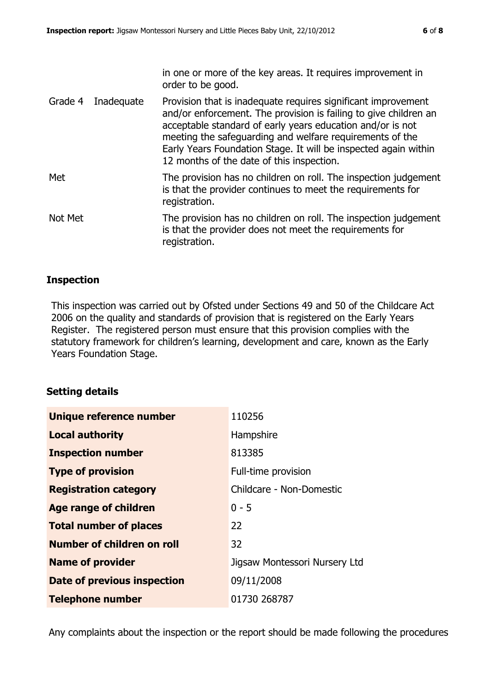|         |                    | in one or more of the key areas. It requires improvement in<br>order to be good.                                                                                                                                                                                                                                                                                            |
|---------|--------------------|-----------------------------------------------------------------------------------------------------------------------------------------------------------------------------------------------------------------------------------------------------------------------------------------------------------------------------------------------------------------------------|
|         | Grade 4 Inadequate | Provision that is inadequate requires significant improvement<br>and/or enforcement. The provision is failing to give children an<br>acceptable standard of early years education and/or is not<br>meeting the safeguarding and welfare requirements of the<br>Early Years Foundation Stage. It will be inspected again within<br>12 months of the date of this inspection. |
| Met     |                    | The provision has no children on roll. The inspection judgement<br>is that the provider continues to meet the requirements for<br>registration.                                                                                                                                                                                                                             |
| Not Met |                    | The provision has no children on roll. The inspection judgement<br>is that the provider does not meet the requirements for<br>registration.                                                                                                                                                                                                                                 |

### **Inspection**

This inspection was carried out by Ofsted under Sections 49 and 50 of the Childcare Act 2006 on the quality and standards of provision that is registered on the Early Years Register. The registered person must ensure that this provision complies with the statutory framework for children's learning, development and care, known as the Early Years Foundation Stage.

### **Setting details**

| Unique reference number       | 110256                        |
|-------------------------------|-------------------------------|
| <b>Local authority</b>        | Hampshire                     |
| <b>Inspection number</b>      | 813385                        |
| <b>Type of provision</b>      | Full-time provision           |
| <b>Registration category</b>  | Childcare - Non-Domestic      |
| Age range of children         | $0 - 5$                       |
| <b>Total number of places</b> | 22                            |
| Number of children on roll    | 32                            |
| <b>Name of provider</b>       | Jigsaw Montessori Nursery Ltd |
| Date of previous inspection   | 09/11/2008                    |
| <b>Telephone number</b>       | 01730 268787                  |

Any complaints about the inspection or the report should be made following the procedures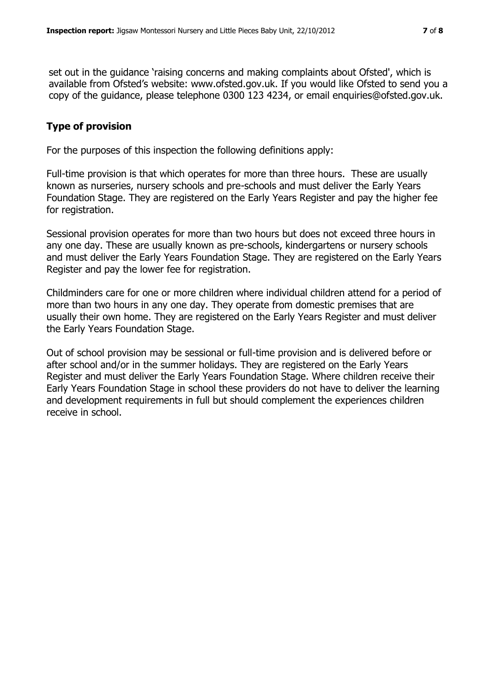set out in the guidance 'raising concerns and making complaints about Ofsted', which is available from Ofsted's website: www.ofsted.gov.uk. If you would like Ofsted to send you a copy of the guidance, please telephone 0300 123 4234, or email enquiries@ofsted.gov.uk.

# **Type of provision**

For the purposes of this inspection the following definitions apply:

Full-time provision is that which operates for more than three hours. These are usually known as nurseries, nursery schools and pre-schools and must deliver the Early Years Foundation Stage. They are registered on the Early Years Register and pay the higher fee for registration.

Sessional provision operates for more than two hours but does not exceed three hours in any one day. These are usually known as pre-schools, kindergartens or nursery schools and must deliver the Early Years Foundation Stage. They are registered on the Early Years Register and pay the lower fee for registration.

Childminders care for one or more children where individual children attend for a period of more than two hours in any one day. They operate from domestic premises that are usually their own home. They are registered on the Early Years Register and must deliver the Early Years Foundation Stage.

Out of school provision may be sessional or full-time provision and is delivered before or after school and/or in the summer holidays. They are registered on the Early Years Register and must deliver the Early Years Foundation Stage. Where children receive their Early Years Foundation Stage in school these providers do not have to deliver the learning and development requirements in full but should complement the experiences children receive in school.